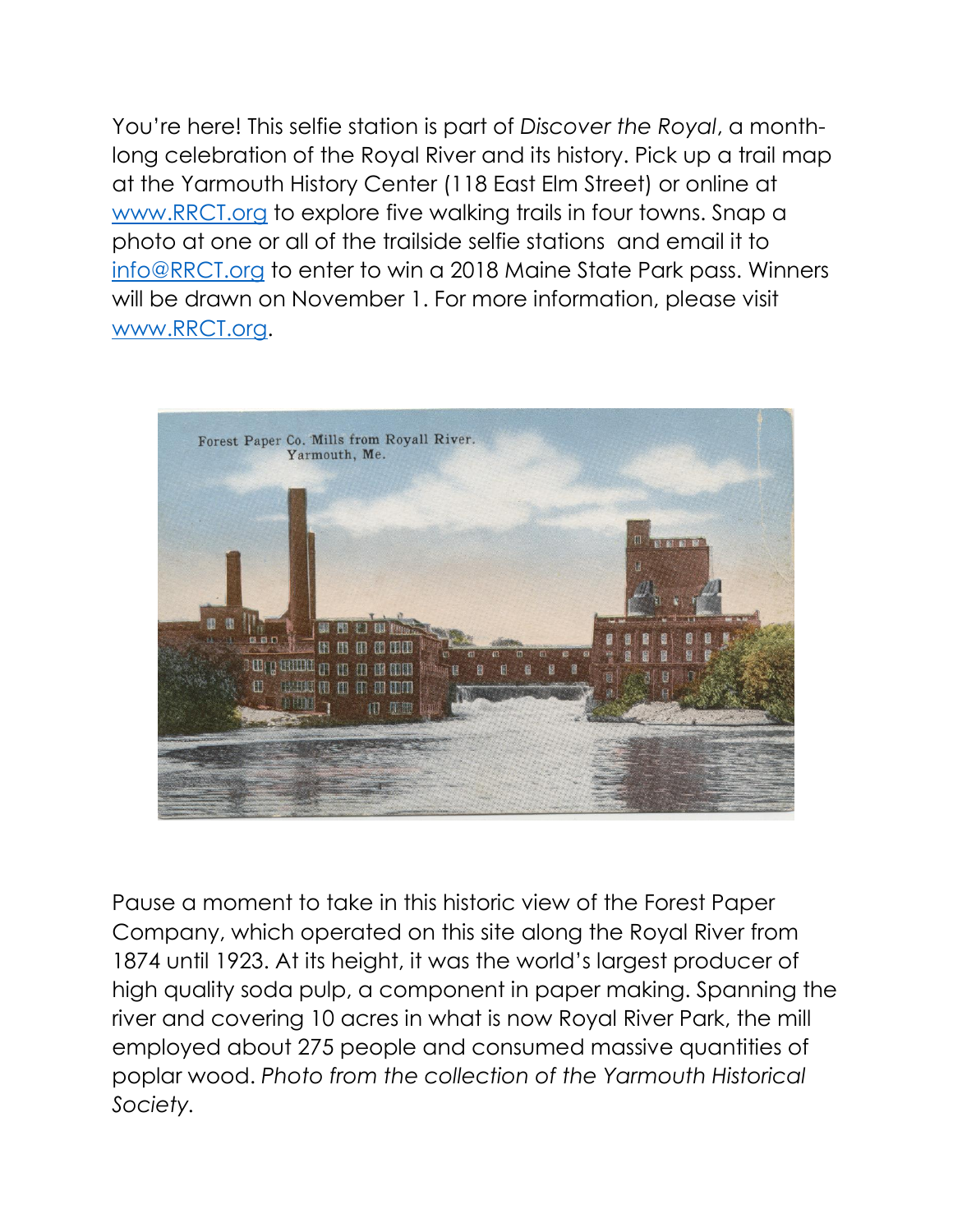

Pause a moment to take in this historic view of the Forest Paper Company, which operated on this site along the Royal River from 1874 until 1923. At its height, it was the world's largest producer of high quality soda pulp, a component in paper making. Spanning the river and covering 10 acres in what is now Royal River Park, the mill employed about 275 people and consumed massive quantities of poplar wood. *Photo from the collection of the Yarmouth Historical Society.*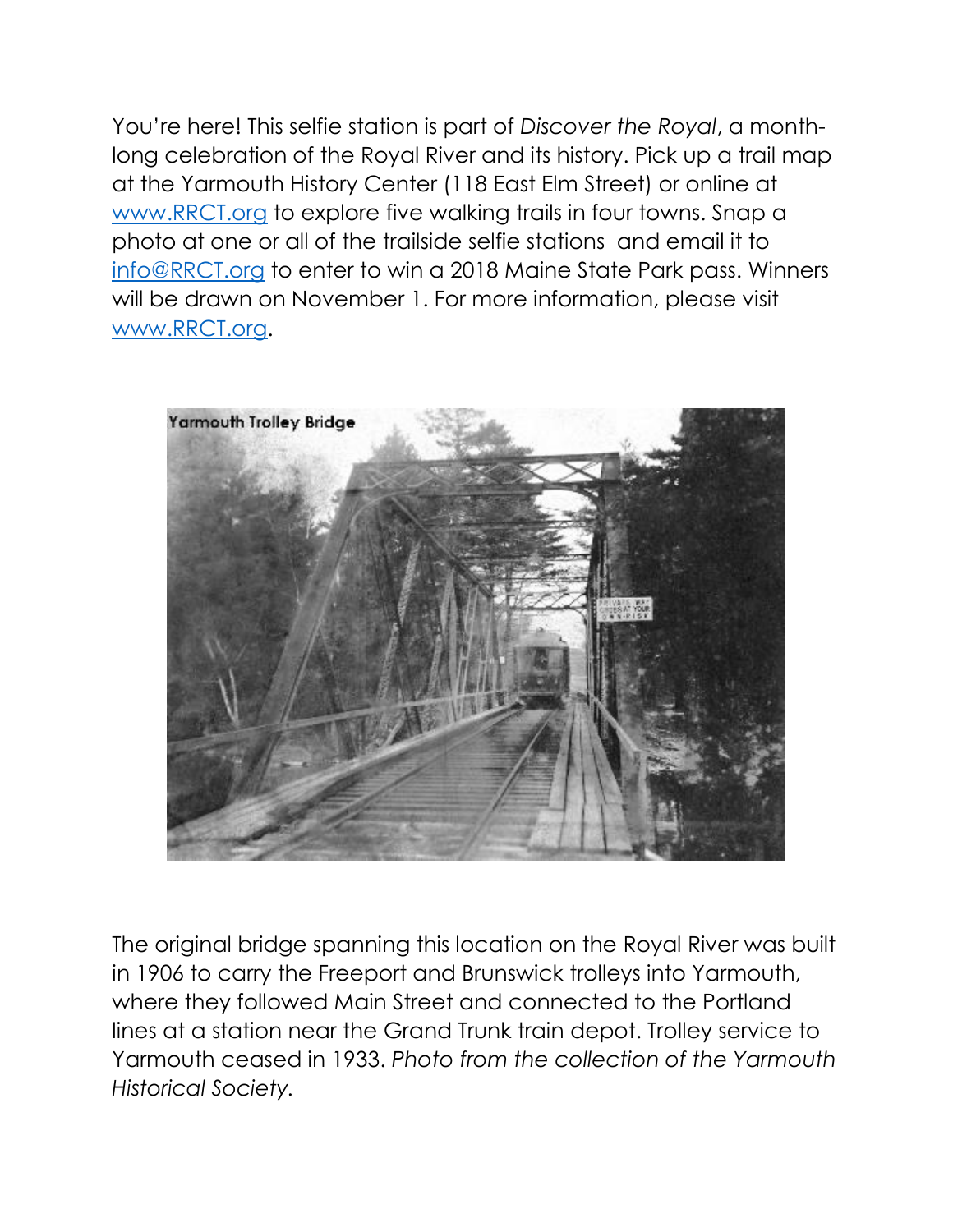

The original bridge spanning this location on the Royal River was built in 1906 to carry the Freeport and Brunswick trolleys into Yarmouth, where they followed Main Street and connected to the Portland lines at a station near the Grand Trunk train depot. Trolley service to Yarmouth ceased in 1933. *Photo from the collection of the Yarmouth Historical Society.*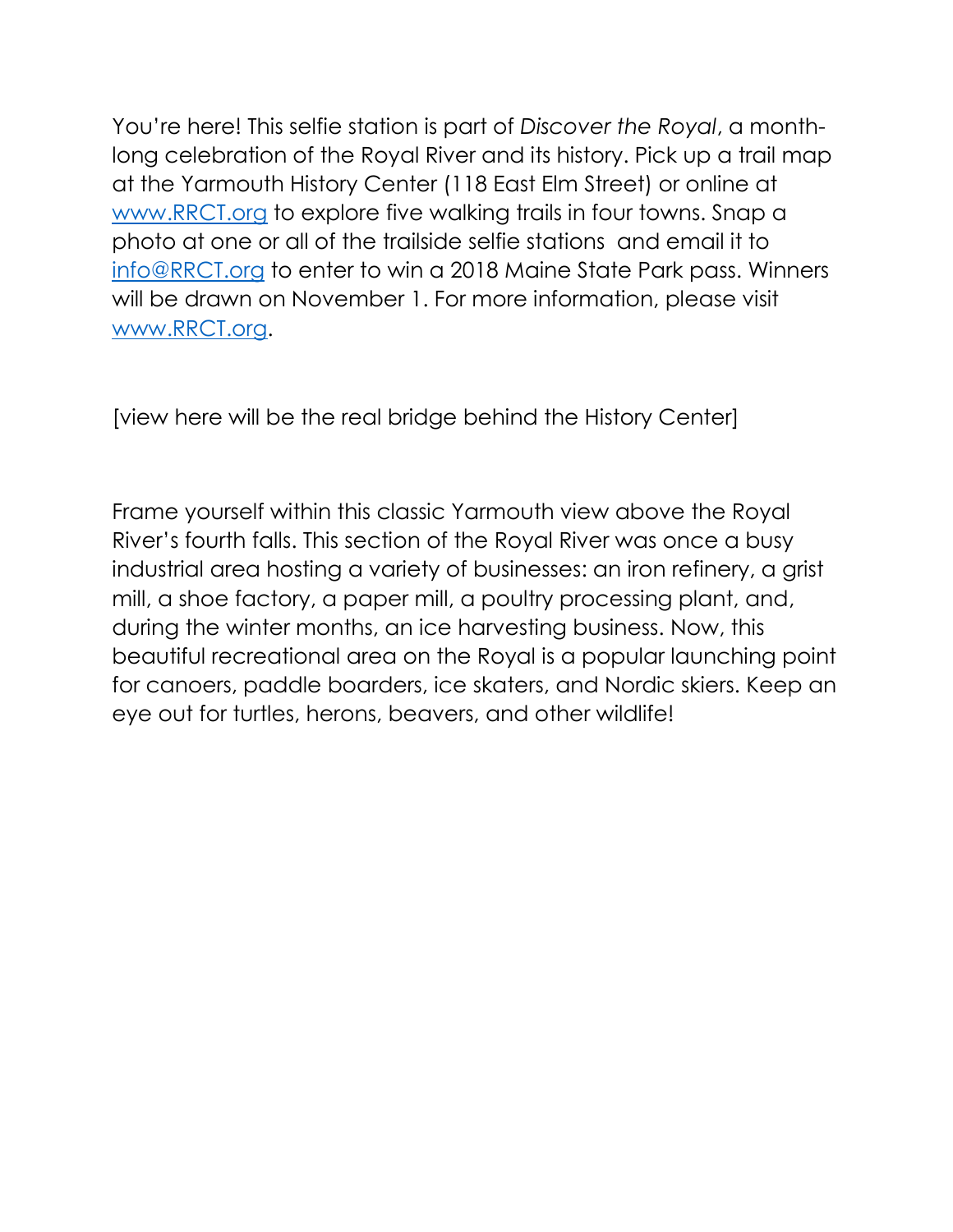[view here will be the real bridge behind the History Center]

Frame yourself within this classic Yarmouth view above the Royal River's fourth falls. This section of the Royal River was once a busy industrial area hosting a variety of businesses: an iron refinery, a grist mill, a shoe factory, a paper mill, a poultry processing plant, and, during the winter months, an ice harvesting business. Now, this beautiful recreational area on the Royal is a popular launching point for canoers, paddle boarders, ice skaters, and Nordic skiers. Keep an eye out for turtles, herons, beavers, and other wildlife!